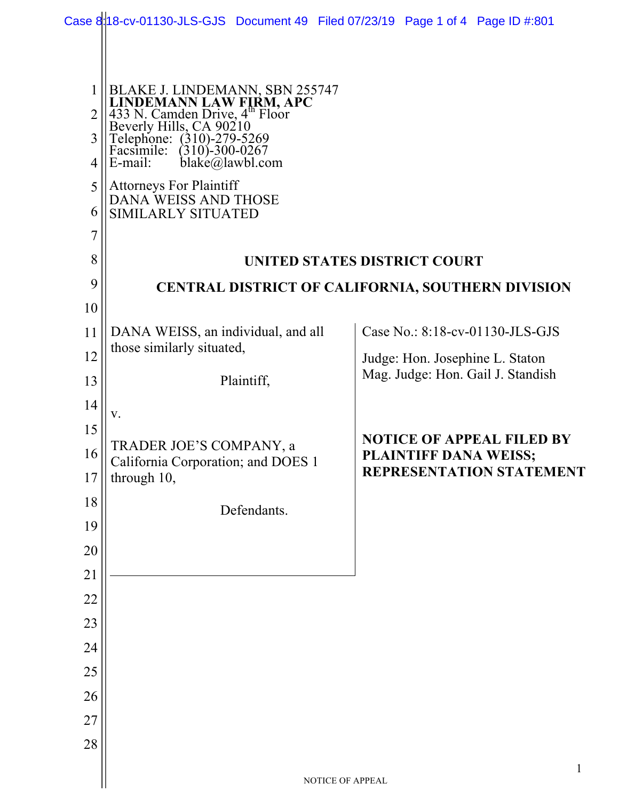|                |                                                                                                                                                                                              | Case 8:18-cv-01130-JLS-GJS Document 49 Filed 07/23/19 Page 1 of 4 Page ID #:801 |  |
|----------------|----------------------------------------------------------------------------------------------------------------------------------------------------------------------------------------------|---------------------------------------------------------------------------------|--|
|                |                                                                                                                                                                                              |                                                                                 |  |
| 1              |                                                                                                                                                                                              |                                                                                 |  |
| $\overline{2}$ |                                                                                                                                                                                              |                                                                                 |  |
| $\overline{3}$ | BLAKE J. LINDEMANN, SBN 255747<br>LINDEMANN LAW FIRM, APC<br>433 N. Camden Drive, 4 <sup>th</sup> Floor<br>Beverly Hills, CA 90210<br>Telephone: (310)-279-5269<br>Facsimile: (310)-300-0267 |                                                                                 |  |
| 4              | $blacké$ (a) lawbl.com<br>E-mail:                                                                                                                                                            |                                                                                 |  |
| 5              | <b>Attorneys For Plaintiff</b><br>DANA WEISS AND THOSE                                                                                                                                       |                                                                                 |  |
| 6              | SIMILARLY SITUATED                                                                                                                                                                           |                                                                                 |  |
| $\overline{7}$ |                                                                                                                                                                                              |                                                                                 |  |
| 8              | <b>UNITED STATES DISTRICT COURT</b>                                                                                                                                                          |                                                                                 |  |
| 9              | <b>CENTRAL DISTRICT OF CALIFORNIA, SOUTHERN DIVISION</b>                                                                                                                                     |                                                                                 |  |
| 10             |                                                                                                                                                                                              |                                                                                 |  |
| 11             | DANA WEISS, an individual, and all                                                                                                                                                           | Case No.: 8:18-cv-01130-JLS-GJS                                                 |  |
| 12             | those similarly situated,                                                                                                                                                                    | Judge: Hon. Josephine L. Staton                                                 |  |
| 13             | Plaintiff,                                                                                                                                                                                   | Mag. Judge: Hon. Gail J. Standish                                               |  |
| 14             | V.                                                                                                                                                                                           |                                                                                 |  |
| 15             |                                                                                                                                                                                              | <b>NOTICE OF APPEAL FILED BY</b>                                                |  |
| 16             | TRADER JOE'S COMPANY, a<br>California Corporation; and DOES 1                                                                                                                                | <b>PLAINTIFF DANA WEISS;</b>                                                    |  |
| 17             | through 10,                                                                                                                                                                                  | REPRESENTATION STATEMENT                                                        |  |
| 18             | Defendants.                                                                                                                                                                                  |                                                                                 |  |
| 19             |                                                                                                                                                                                              |                                                                                 |  |
| 20             |                                                                                                                                                                                              |                                                                                 |  |
| 21             |                                                                                                                                                                                              |                                                                                 |  |
| 22             |                                                                                                                                                                                              |                                                                                 |  |
| 23             |                                                                                                                                                                                              |                                                                                 |  |
| 24             |                                                                                                                                                                                              |                                                                                 |  |
| 25             |                                                                                                                                                                                              |                                                                                 |  |
| 26             |                                                                                                                                                                                              |                                                                                 |  |
| 27             |                                                                                                                                                                                              |                                                                                 |  |
| 28             |                                                                                                                                                                                              |                                                                                 |  |
|                |                                                                                                                                                                                              | $\mathbf{1}$<br>NOTICE OF APPEAL                                                |  |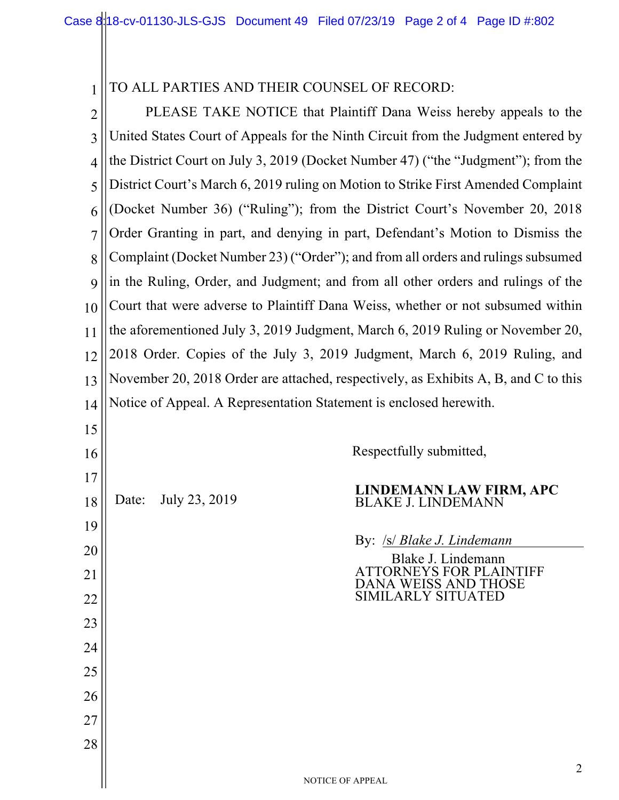#### 1 TO ALL PARTIES AND THEIR COUNSEL OF RECORD:

2 3 4 5 6 7 8 9 10 11 12 13 14 15 PLEASE TAKE NOTICE that Plaintiff Dana Weiss hereby appeals to the United States Court of Appeals for the Ninth Circuit from the Judgment entered by the District Court on July 3, 2019 (Docket Number 47) ("the "Judgment"); from the District Court's March 6, 2019 ruling on Motion to Strike First Amended Complaint (Docket Number 36) ("Ruling"); from the District Court's November 20, 2018 Order Granting in part, and denying in part, Defendant's Motion to Dismiss the Complaint (Docket Number 23) ("Order"); and from all orders and rulings subsumed in the Ruling, Order, and Judgment; and from all other orders and rulings of the Court that were adverse to Plaintiff Dana Weiss, whether or not subsumed within the aforementioned July 3, 2019 Judgment, March 6, 2019 Ruling or November 20, 2018 Order. Copies of the July 3, 2019 Judgment, March 6, 2019 Ruling, and November 20, 2018 Order are attached, respectively, as Exhibits A, B, and C to this Notice of Appeal. A Representation Statement is enclosed herewith.

Respectfully submitted,

17 18 19 20

16

21

22

23

24

25

26

27

28

Date: July 23, 2019 **LINDEMANN LAW FIRM, APC** BLAKE J. LINDEMANN

By: /s/ *Blake J. Lindemann*

Blake J. Lindemann ATTORNEYS FOR PLAINTIFF DANA WEISS AND THOSE SIMILARLY SITUATED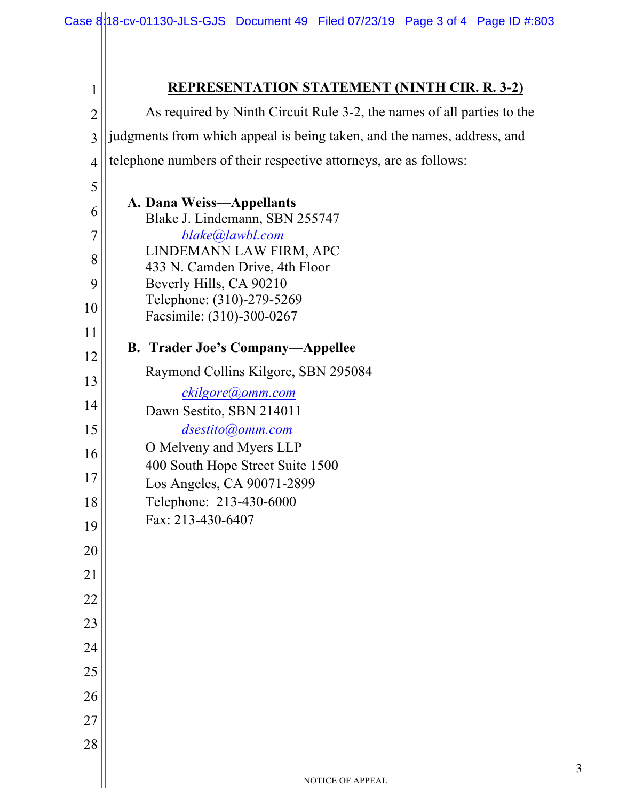| 1              | <b>REPRESENTATION STATEMENT (NINTH CIR. R. 3-2)</b>                     |
|----------------|-------------------------------------------------------------------------|
| $\overline{2}$ | As required by Ninth Circuit Rule 3-2, the names of all parties to the  |
| $\overline{3}$ | judgments from which appeal is being taken, and the names, address, and |
| $\overline{4}$ | telephone numbers of their respective attorneys, are as follows:        |
| 5              |                                                                         |
| 6              | A. Dana Weiss-Appellants<br>Blake J. Lindemann, SBN 255747              |
| $\overline{7}$ | blake@lawbl.com                                                         |
| 8              | LINDEMANN LAW FIRM, APC<br>433 N. Camden Drive, 4th Floor               |
| 9              | Beverly Hills, CA 90210                                                 |
| 10             | Telephone: (310)-279-5269<br>Facsimile: (310)-300-0267                  |
| 11             | <b>B.</b> Trader Joe's Company—Appellee                                 |
| 12             | Raymond Collins Kilgore, SBN 295084                                     |
| 13             | ckilgore@omm.com                                                        |
| 14             | Dawn Sestito, SBN 214011                                                |
| 15             | dsestito@omm.com<br>O Melveny and Myers LLP                             |
| 16             | 400 South Hope Street Suite 1500                                        |
| 17             | Los Angeles, CA 90071-2899                                              |
| 18             | Telephone: 213-430-6000<br>Fax: 213-430-6407                            |
| 19             |                                                                         |
| 20             |                                                                         |
| 21             |                                                                         |
| 22             |                                                                         |
| 23             |                                                                         |
| 24             |                                                                         |
| 25             |                                                                         |
| 26             |                                                                         |
| 27<br>28       |                                                                         |
|                |                                                                         |
|                | NOTICE OF APPEAL                                                        |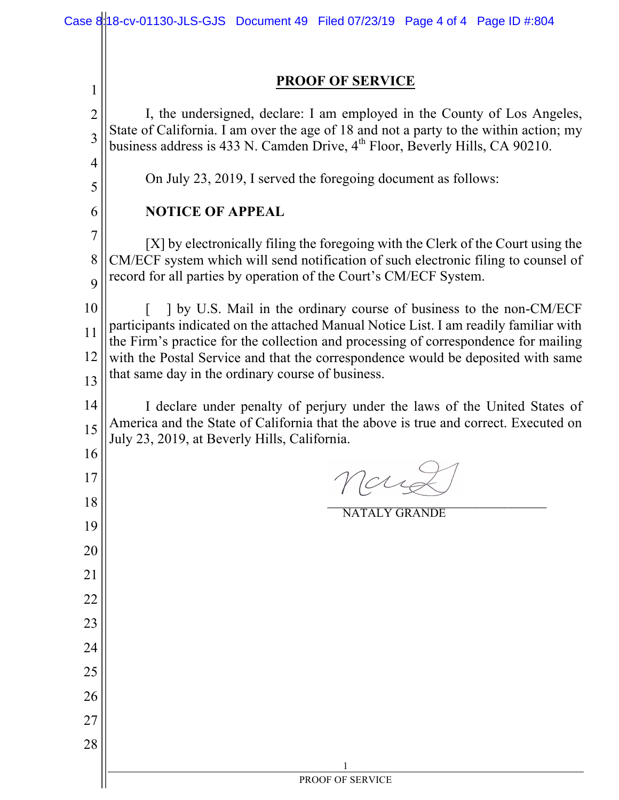|                | Case 8:18-cv-01130-JLS-GJS Document 49 Filed 07/23/19 Page 4 of 4 Page ID #:804                                                                                              |
|----------------|------------------------------------------------------------------------------------------------------------------------------------------------------------------------------|
|                |                                                                                                                                                                              |
| 1              | <b>PROOF OF SERVICE</b>                                                                                                                                                      |
| $\overline{c}$ | I, the undersigned, declare: I am employed in the County of Los Angeles,                                                                                                     |
| 3              | State of California. I am over the age of 18 and not a party to the within action; my                                                                                        |
| $\overline{4}$ | business address is 433 N. Camden Drive, $4th$ Floor, Beverly Hills, CA 90210.                                                                                               |
| 5              | On July 23, 2019, I served the foregoing document as follows:                                                                                                                |
| 6              | <b>NOTICE OF APPEAL</b>                                                                                                                                                      |
| $\overline{7}$ | [X] by electronically filing the foregoing with the Clerk of the Court using the                                                                                             |
| 8              | CM/ECF system which will send notification of such electronic filing to counsel of                                                                                           |
| 9              | record for all parties by operation of the Court's CM/ECF System.                                                                                                            |
| 10             | 1 by U.S. Mail in the ordinary course of business to the non-CM/ECF                                                                                                          |
| 11             | participants indicated on the attached Manual Notice List. I am readily familiar with<br>the Firm's practice for the collection and processing of correspondence for mailing |
| 12             | with the Postal Service and that the correspondence would be deposited with same<br>that same day in the ordinary course of business.                                        |
| 13             |                                                                                                                                                                              |
| 14             | I declare under penalty of perjury under the laws of the United States of<br>America and the State of California that the above is true and correct. Executed on             |
| 15             | July 23, 2019, at Beverly Hills, California.                                                                                                                                 |
| 16<br>17       |                                                                                                                                                                              |
| 18             |                                                                                                                                                                              |
| 19             | <b>NATALY GRANDE</b>                                                                                                                                                         |
| 20             |                                                                                                                                                                              |
| 21             |                                                                                                                                                                              |
| 22             |                                                                                                                                                                              |
| 23             |                                                                                                                                                                              |
| 24             |                                                                                                                                                                              |
| 25             |                                                                                                                                                                              |
| 26             |                                                                                                                                                                              |
| 27             |                                                                                                                                                                              |
| 28             |                                                                                                                                                                              |
|                | PROOF OF SERVICE                                                                                                                                                             |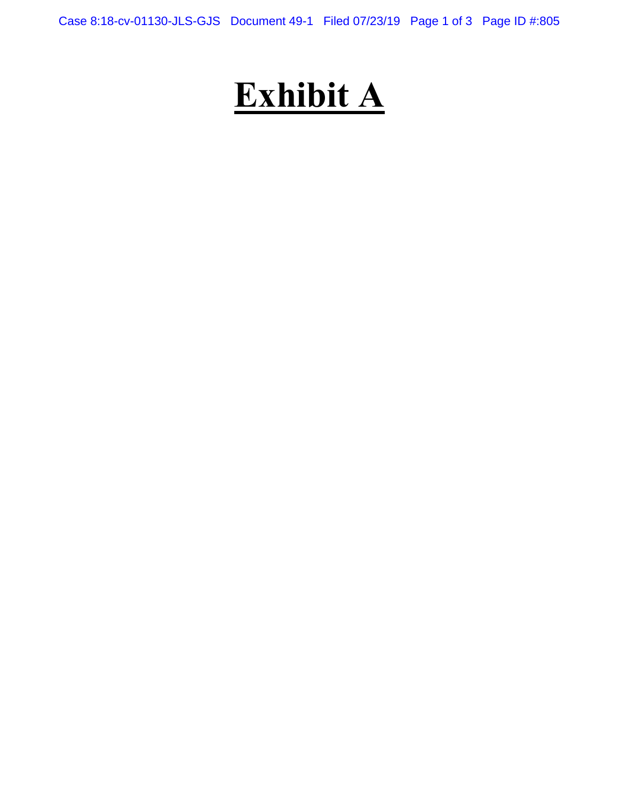Case 8:18-cv-01130-JLS-GJS Document 49-1 Filed 07/23/19 Page 1 of 3 Page ID #:805

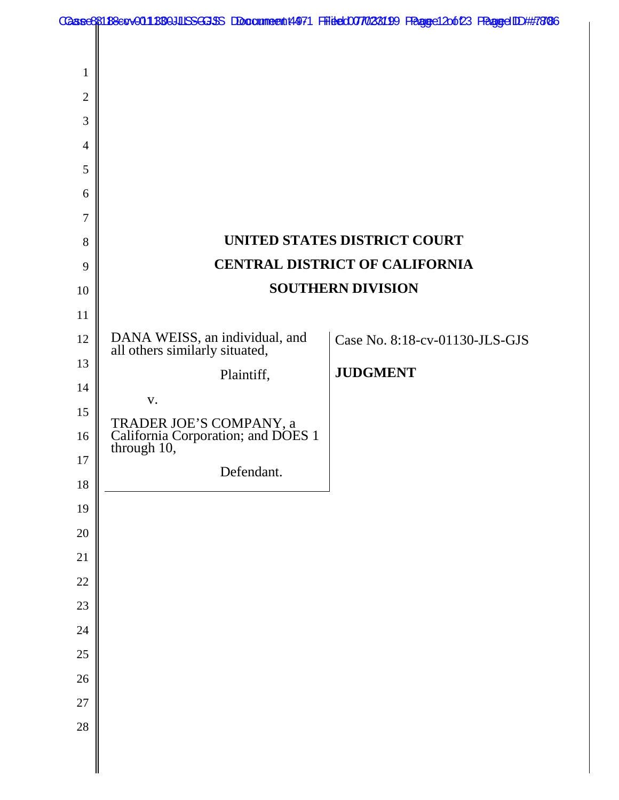|                |                                                                              | Caase88188ecv001880JUSSGJSS Doccumeent4971 Fiidec007/028199 Faagee12o623 FaagedDD##7886 |
|----------------|------------------------------------------------------------------------------|-----------------------------------------------------------------------------------------|
|                |                                                                              |                                                                                         |
| 1              |                                                                              |                                                                                         |
| $\overline{2}$ |                                                                              |                                                                                         |
| 3              |                                                                              |                                                                                         |
| $\overline{4}$ |                                                                              |                                                                                         |
| 5              |                                                                              |                                                                                         |
| 6              |                                                                              |                                                                                         |
| 7              |                                                                              |                                                                                         |
| 8              |                                                                              | UNITED STATES DISTRICT COURT                                                            |
| 9              |                                                                              | <b>CENTRAL DISTRICT OF CALIFORNIA</b>                                                   |
| 10             |                                                                              | <b>SOUTHERN DIVISION</b>                                                                |
| 11             |                                                                              |                                                                                         |
| 12             | DANA WEISS, an individual, and<br>all others similarly situated,             | Case No. 8:18-cv-01130-JLS-GJS                                                          |
| 13             | Plaintiff,                                                                   | <b>JUDGMENT</b>                                                                         |
| 14             | V.                                                                           |                                                                                         |
| 15             |                                                                              |                                                                                         |
| 16             | TRADER JOE'S COMPANY, a<br>California Corporation; and DOES 1<br>through 10, |                                                                                         |
| 17             | Defendant.                                                                   |                                                                                         |
| 18             |                                                                              |                                                                                         |
| 19             |                                                                              |                                                                                         |
| 20             |                                                                              |                                                                                         |
| 21             |                                                                              |                                                                                         |
| 22             |                                                                              |                                                                                         |
| 23             |                                                                              |                                                                                         |
| 24             |                                                                              |                                                                                         |
| 25             |                                                                              |                                                                                         |
| 26             |                                                                              |                                                                                         |
| 27             |                                                                              |                                                                                         |
| 28             |                                                                              |                                                                                         |
|                |                                                                              |                                                                                         |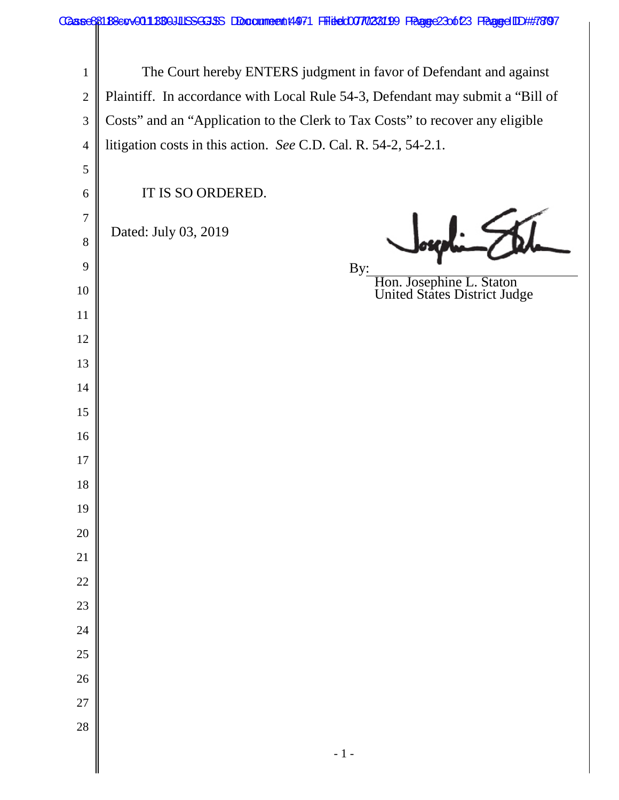|                  | Caase88188exv001880JUSSGGJSS Doccumeentt4971 Filitec0077028199 FRagge23o6123 FRaggeIDD##7897 |  |  |
|------------------|----------------------------------------------------------------------------------------------|--|--|
|                  |                                                                                              |  |  |
| $\mathbf{1}$     | The Court hereby ENTERS judgment in favor of Defendant and against                           |  |  |
| $\overline{2}$   | Plaintiff. In accordance with Local Rule 54-3, Defendant may submit a "Bill of               |  |  |
| 3                | Costs" and an "Application to the Clerk to Tax Costs" to recover any eligible                |  |  |
| $\overline{4}$   | litigation costs in this action. See C.D. Cal. R. 54-2, 54-2.1.                              |  |  |
| $\mathfrak{S}$   |                                                                                              |  |  |
| 6                | IT IS SO ORDERED.                                                                            |  |  |
| $\boldsymbol{7}$ |                                                                                              |  |  |
| 8                | Dated: July 03, 2019                                                                         |  |  |
| 9                | By:                                                                                          |  |  |
| 10               | Hon. Josephine L. Staton<br>United States District Judge                                     |  |  |
| 11               |                                                                                              |  |  |
| 12               |                                                                                              |  |  |
| 13               |                                                                                              |  |  |
| 14               |                                                                                              |  |  |
| 15               |                                                                                              |  |  |
| 16               |                                                                                              |  |  |
| 17               |                                                                                              |  |  |
| 18               |                                                                                              |  |  |
| 19               |                                                                                              |  |  |
| $20\,$           |                                                                                              |  |  |
| $21\,$           |                                                                                              |  |  |
| 22               |                                                                                              |  |  |
| 23               |                                                                                              |  |  |
| 24               |                                                                                              |  |  |
| 25               |                                                                                              |  |  |
| 26               |                                                                                              |  |  |
| $27\,$           |                                                                                              |  |  |
| 28               |                                                                                              |  |  |
|                  | $-1-$                                                                                        |  |  |
|                  |                                                                                              |  |  |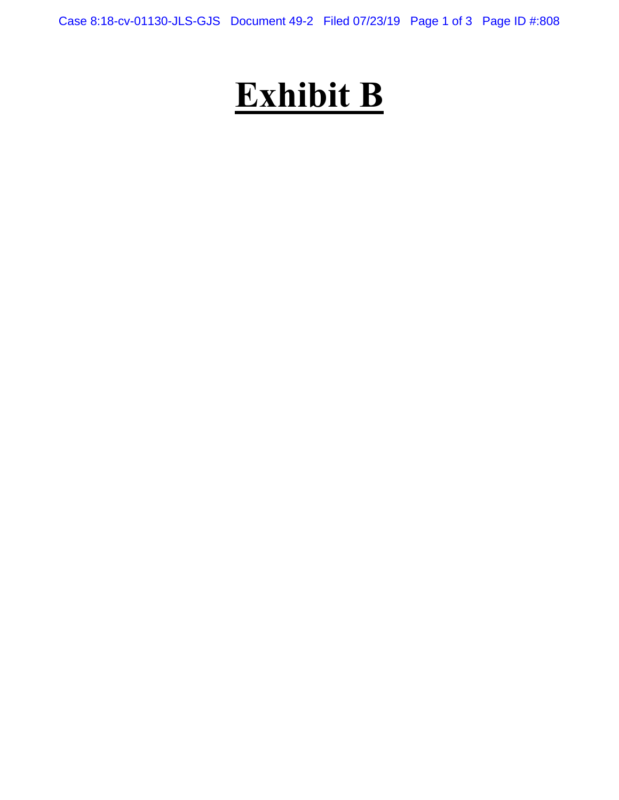Case 8:18-cv-01130-JLS-GJS Document 49-2 Filed 07/23/19 Page 1 of 3 Page ID #:808

# **Exhibit B**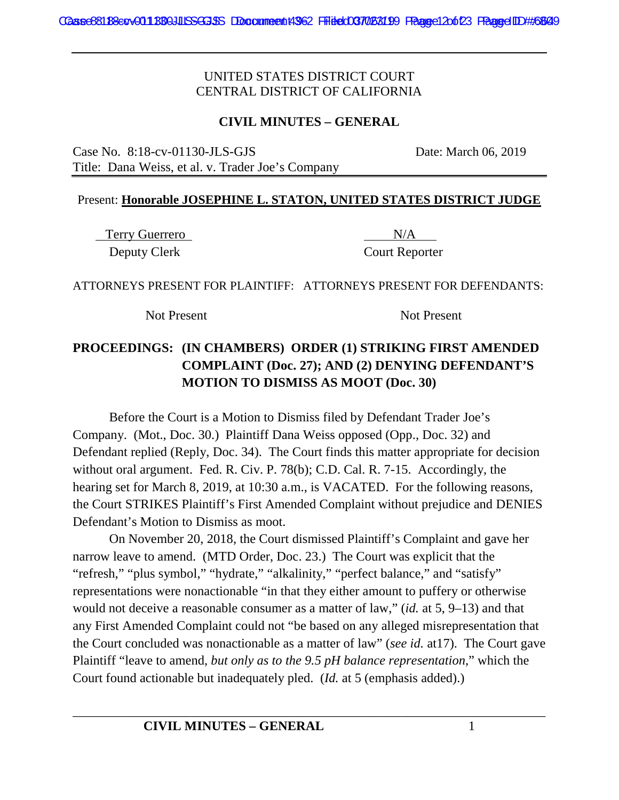#### **CIVIL MINUTES – GENERAL**

Case No. 8:18-cv-01130-JLS-GJS Date: March 06, 2019 Title: Dana Weiss, et al. v. Trader Joe's Company

#### Present: **Honorable JOSEPHINE L. STATON, UNITED STATES DISTRICT JUDGE**

Terry Guerrero N/A Deputy Clerk Court Reporter

ATTORNEYS PRESENT FOR PLAINTIFF: ATTORNEYS PRESENT FOR DEFENDANTS:

Not Present Not Present

# **PROCEEDINGS: (IN CHAMBERS) ORDER (1) STRIKING FIRST AMENDED COMPLAINT (Doc. 27); AND (2) DENYING DEFENDANT'S MOTION TO DISMISS AS MOOT (Doc. 30)**

Before the Court is a Motion to Dismiss filed by Defendant Trader Joe's Company. (Mot., Doc. 30.) Plaintiff Dana Weiss opposed (Opp., Doc. 32) and Defendant replied (Reply, Doc. 34). The Court finds this matter appropriate for decision without oral argument. Fed. R. Civ. P. 78(b); C.D. Cal. R. 7-15. Accordingly, the hearing set for March 8, 2019, at 10:30 a.m., is VACATED. For the following reasons, the Court STRIKES Plaintiff's First Amended Complaint without prejudice and DENIES Defendant's Motion to Dismiss as moot.

On November 20, 2018, the Court dismissed Plaintiff's Complaint and gave her narrow leave to amend. (MTD Order, Doc. 23.) The Court was explicit that the "refresh," "plus symbol," "hydrate," "alkalinity," "perfect balance," and "satisfy" representations were nonactionable "in that they either amount to puffery or otherwise would not deceive a reasonable consumer as a matter of law," (*id.* at 5, 9–13) and that any First Amended Complaint could not "be based on any alleged misrepresentation that the Court concluded was nonactionable as a matter of law" (*see id.* at17). The Court gave Plaintiff "leave to amend, *but only as to the 9.5 pH balance representation*," which the Court found actionable but inadequately pled. (*Id.* at 5 (emphasis added).)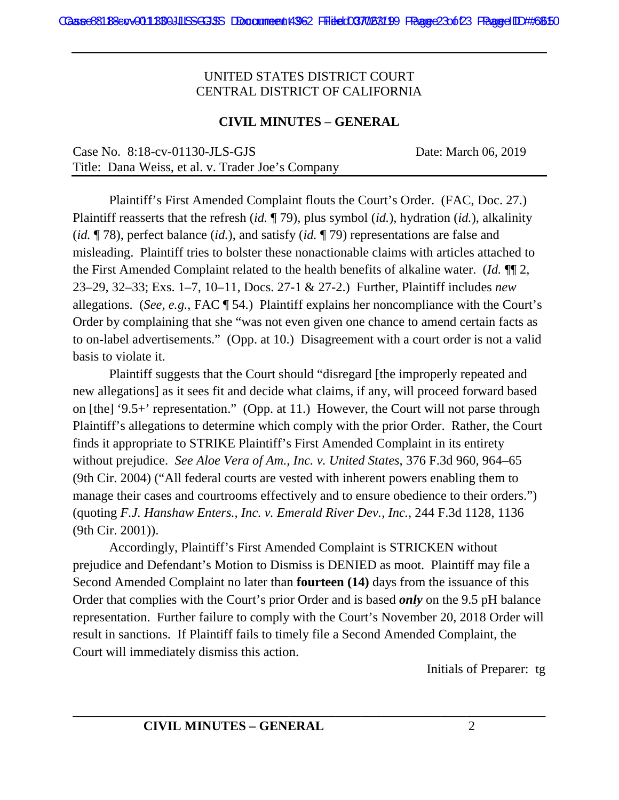#### **CIVIL MINUTES – GENERAL**

| Case No. $8:18$ -cv-01130-JLS-GJS                 | Date: March 06, 2019 |
|---------------------------------------------------|----------------------|
| Title: Dana Weiss, et al. v. Trader Joe's Company |                      |

Plaintiff's First Amended Complaint flouts the Court's Order. (FAC, Doc. 27.) Plaintiff reasserts that the refresh (*id.* ¶ 79), plus symbol (*id.*), hydration (*id.*), alkalinity (*id.* ¶ 78), perfect balance (*id.*), and satisfy (*id.* ¶ 79) representations are false and misleading. Plaintiff tries to bolster these nonactionable claims with articles attached to the First Amended Complaint related to the health benefits of alkaline water. (*Id.* ¶¶ 2, 23–29, 32–33; Exs. 1–7, 10–11, Docs. 27-1 & 27-2.) Further, Plaintiff includes *new*  allegations. (*See, e.g.*, FAC ¶ 54.) Plaintiff explains her noncompliance with the Court's Order by complaining that she "was not even given one chance to amend certain facts as to on-label advertisements." (Opp. at 10.) Disagreement with a court order is not a valid basis to violate it.

Plaintiff suggests that the Court should "disregard [the improperly repeated and new allegations] as it sees fit and decide what claims, if any, will proceed forward based on [the] '9.5+' representation." (Opp. at 11.) However, the Court will not parse through Plaintiff's allegations to determine which comply with the prior Order. Rather, the Court finds it appropriate to STRIKE Plaintiff's First Amended Complaint in its entirety without prejudice. *See Aloe Vera of Am., Inc. v. United States*, 376 F.3d 960, 964–65 (9th Cir. 2004) ("All federal courts are vested with inherent powers enabling them to manage their cases and courtrooms effectively and to ensure obedience to their orders.") (quoting *F.J. Hanshaw Enters., Inc. v. Emerald River Dev., Inc.*, 244 F.3d 1128, 1136 (9th Cir. 2001)).

Accordingly, Plaintiff's First Amended Complaint is STRICKEN without prejudice and Defendant's Motion to Dismiss is DENIED as moot. Plaintiff may file a Second Amended Complaint no later than **fourteen (14)** days from the issuance of this Order that complies with the Court's prior Order and is based *only* on the 9.5 pH balance representation. Further failure to comply with the Court's November 20, 2018 Order will result in sanctions. If Plaintiff fails to timely file a Second Amended Complaint, the Court will immediately dismiss this action.

Initials of Preparer: tg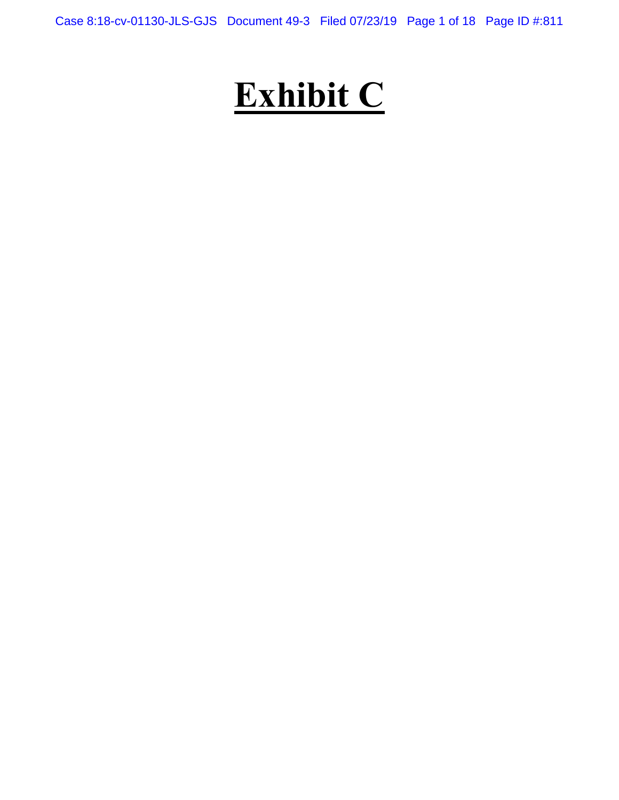Case 8:18-cv-01130-JLS-GJS Document 49-3 Filed 07/23/19 Page 1 of 18 Page ID #:811

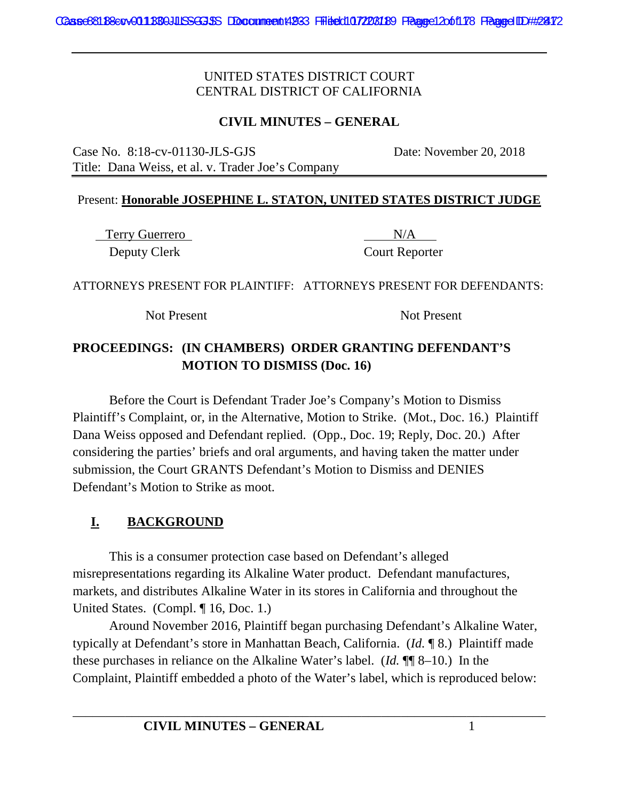#### **CIVIL MINUTES – GENERAL**

Case No. 8:18-cv-01130-JLS-GJS Date: November 20, 2018 Title: Dana Weiss, et al. v. Trader Joe's Company

#### Present: **Honorable JOSEPHINE L. STATON, UNITED STATES DISTRICT JUDGE**

Terry Guerrero N/A Deputy Clerk Court Reporter

ATTORNEYS PRESENT FOR PLAINTIFF: ATTORNEYS PRESENT FOR DEFENDANTS:

Not Present Not Present

# **PROCEEDINGS: (IN CHAMBERS) ORDER GRANTING DEFENDANT'S MOTION TO DISMISS (Doc. 16)**

Before the Court is Defendant Trader Joe's Company's Motion to Dismiss Plaintiff's Complaint, or, in the Alternative, Motion to Strike. (Mot., Doc. 16.) Plaintiff Dana Weiss opposed and Defendant replied. (Opp., Doc. 19; Reply, Doc. 20.) After considering the parties' briefs and oral arguments, and having taken the matter under submission, the Court GRANTS Defendant's Motion to Dismiss and DENIES Defendant's Motion to Strike as moot.

# **I. BACKGROUND**

This is a consumer protection case based on Defendant's alleged misrepresentations regarding its Alkaline Water product. Defendant manufactures, markets, and distributes Alkaline Water in its stores in California and throughout the United States. (Compl. ¶ 16, Doc. 1.)

Around November 2016, Plaintiff began purchasing Defendant's Alkaline Water, typically at Defendant's store in Manhattan Beach, California. (*Id.* ¶ 8.) Plaintiff made these purchases in reliance on the Alkaline Water's label. (*Id.* ¶¶ 8–10.) In the Complaint, Plaintiff embedded a photo of the Water's label, which is reproduced below: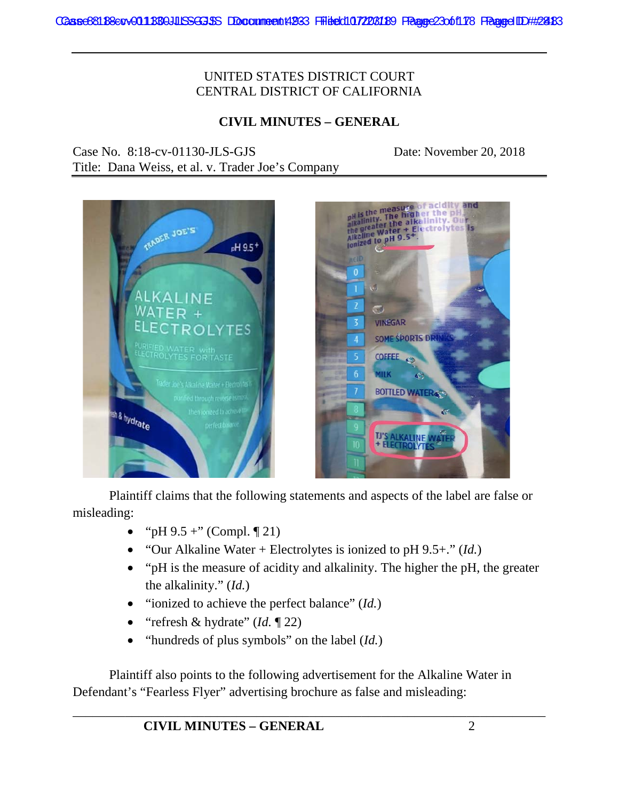## **CIVIL MINUTES – GENERAL**

Case No. 8:18-cv-01130-JLS-GJS Date: November 20, 2018

Title: Dana Weiss, et al. v. Trader Joe's Company





Plaintiff claims that the following statements and aspects of the label are false or misleading:

- "pH  $9.5 +$ " (Compl.  $\P$  21)
- "Our Alkaline Water + Electrolytes is ionized to pH 9.5+." (*Id.*)
- "pH is the measure of acidity and alkalinity. The higher the pH, the greater the alkalinity." (*Id.*)
- "ionized to achieve the perfect balance" (*Id.*)
- "refresh & hydrate" (*Id.* ¶ 22)
- "hundreds of plus symbols" on the label (*Id.*)

Plaintiff also points to the following advertisement for the Alkaline Water in Defendant's "Fearless Flyer" advertising brochure as false and misleading: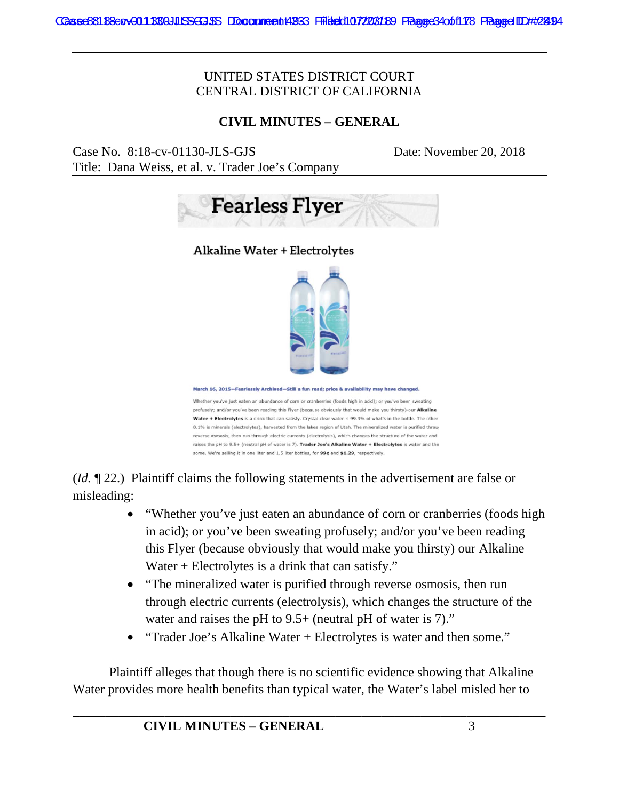#### **CIVIL MINUTES – GENERAL**

Case No. 8:18-cv-01130-JLS-GJS Date: November 20, 2018 Title: Dana Weiss, et al. v. Trader Joe's Company



**Alkaline Water + Electrolytes** 



March 16, 2015-Fearlessly Archived-Still a fun read; price & availability may have chang

Whether you've just eaten an abundance of corn or cranberries (foods high in acid); or you've been sweating profusely: and/or you've been reading this Flyer (because obviously that would make you thirsty)-our Alkaline Water + Electrolytes is a drink that can satisfy. Crystal clear water is 99.9% of what's in the bottle. The other 0.1% is minerals (electrolytes), harvested from the lakes region of Utah. The mineralized water is purified throus reverse osmosis, then run through electric currents (electrolysis), which changes the structure of the water and raises the pH to 9.5+ (neutral pH of water is 7). Trader Joe's Alkaline Water + Electrolytes is water and the some. We're selling it in one liter and 1.5 liter bottles, for 99¢ and \$1.29, respectively.

(*Id.* ¶ 22.) Plaintiff claims the following statements in the advertisement are false or misleading:

- "Whether you've just eaten an abundance of corn or cranberries (foods high in acid); or you've been sweating profusely; and/or you've been reading this Flyer (because obviously that would make you thirsty) our Alkaline Water + Electrolytes is a drink that can satisfy."
- "The mineralized water is purified through reverse osmosis, then run through electric currents (electrolysis), which changes the structure of the water and raises the pH to 9.5+ (neutral pH of water is 7)."
- "Trader Joe's Alkaline Water + Electrolytes is water and then some."

Plaintiff alleges that though there is no scientific evidence showing that Alkaline Water provides more health benefits than typical water, the Water's label misled her to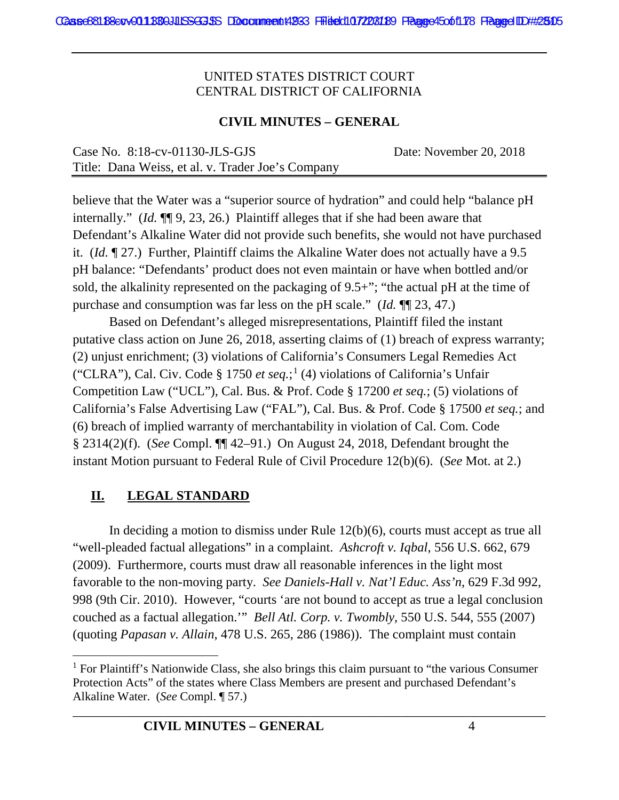#### **CIVIL MINUTES – GENERAL**

| Case No. $8:18$ -cv-01130-JLS-GJS                 | Date: November 20, 2018 |
|---------------------------------------------------|-------------------------|
| Title: Dana Weiss, et al. v. Trader Joe's Company |                         |

believe that the Water was a "superior source of hydration" and could help "balance pH internally." (*Id.* ¶¶ 9, 23, 26.) Plaintiff alleges that if she had been aware that Defendant's Alkaline Water did not provide such benefits, she would not have purchased it. (*Id.* ¶ 27.) Further, Plaintiff claims the Alkaline Water does not actually have a 9.5 pH balance: "Defendants' product does not even maintain or have when bottled and/or sold, the alkalinity represented on the packaging of 9.5+"; "the actual pH at the time of purchase and consumption was far less on the pH scale." (*Id.* ¶¶ 23, 47.)

Based on Defendant's alleged misrepresentations, Plaintiff filed the instant putative class action on June 26, 2018, asserting claims of (1) breach of express warranty; (2) unjust enrichment; (3) violations of California's Consumers Legal Remedies Act ("CLRA"), Cal. Civ. Code § 1750 *et seq.*; <sup>1</sup> (4) violations of California's Unfair Competition Law ("UCL"), Cal. Bus. & Prof. Code § 17200 *et seq.*; (5) violations of California's False Advertising Law ("FAL"), Cal. Bus. & Prof. Code § 17500 *et seq.*; and (6) breach of implied warranty of merchantability in violation of Cal. Com. Code § 2314(2)(f). (*See* Compl. ¶¶ 42–91.) On August 24, 2018, Defendant brought the instant Motion pursuant to Federal Rule of Civil Procedure 12(b)(6). (*See* Mot. at 2.)

# **II. LEGAL STANDARD**

In deciding a motion to dismiss under Rule 12(b)(6), courts must accept as true all "well-pleaded factual allegations" in a complaint. *Ashcroft v. Iqbal*, 556 U.S. 662, 679 (2009). Furthermore, courts must draw all reasonable inferences in the light most favorable to the non-moving party. *See Daniels-Hall v. Nat'l Educ. Ass'n*, 629 F.3d 992, 998 (9th Cir. 2010). However, "courts 'are not bound to accept as true a legal conclusion couched as a factual allegation.'" *Bell Atl. Corp. v. Twombly*, 550 U.S. 544, 555 (2007) (quoting *Papasan v. Allain*, 478 U.S. 265, 286 (1986)). The complaint must contain

 $<sup>1</sup>$  For Plaintiff's Nationwide Class, she also brings this claim pursuant to "the various Consumer"</sup> Protection Acts" of the states where Class Members are present and purchased Defendant's Alkaline Water. (*See* Compl. ¶ 57.)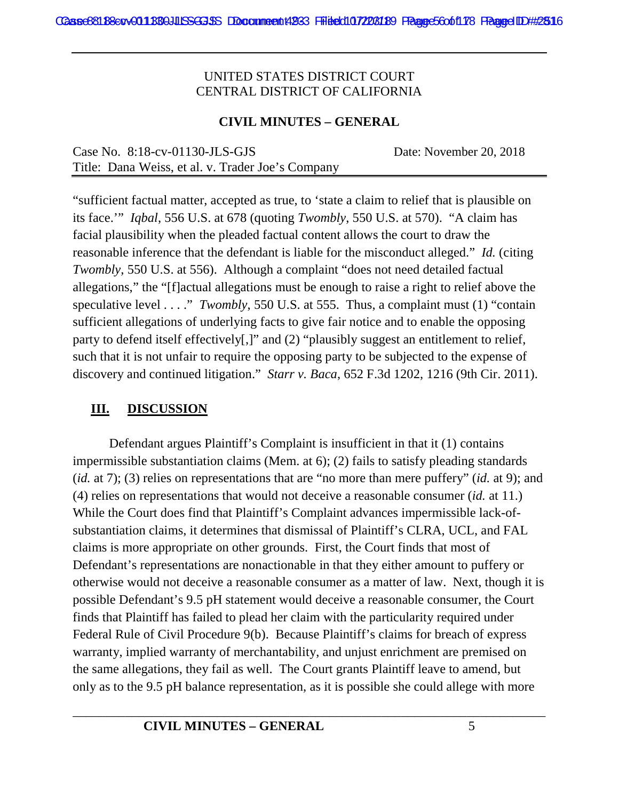#### **CIVIL MINUTES – GENERAL**

| Case No. $8:18$ -cv-01130-JLS-GJS                 | Date: November 20, 2018 |
|---------------------------------------------------|-------------------------|
| Title: Dana Weiss, et al. v. Trader Joe's Company |                         |

"sufficient factual matter, accepted as true, to 'state a claim to relief that is plausible on its face.'" *Iqbal*, 556 U.S. at 678 (quoting *Twombly*, 550 U.S. at 570). "A claim has facial plausibility when the pleaded factual content allows the court to draw the reasonable inference that the defendant is liable for the misconduct alleged." *Id.* (citing *Twombly*, 550 U.S. at 556). Although a complaint "does not need detailed factual allegations," the "[f]actual allegations must be enough to raise a right to relief above the speculative level . . . ." *Twombly*, 550 U.S. at 555. Thus, a complaint must (1) "contain sufficient allegations of underlying facts to give fair notice and to enable the opposing party to defend itself effectively[,]" and (2) "plausibly suggest an entitlement to relief, such that it is not unfair to require the opposing party to be subjected to the expense of discovery and continued litigation." *Starr v. Baca*, 652 F.3d 1202, 1216 (9th Cir. 2011).

# **III. DISCUSSION**

Defendant argues Plaintiff's Complaint is insufficient in that it (1) contains impermissible substantiation claims (Mem. at 6); (2) fails to satisfy pleading standards (*id.* at 7); (3) relies on representations that are "no more than mere puffery" (*id.* at 9); and (4) relies on representations that would not deceive a reasonable consumer (*id.* at 11.) While the Court does find that Plaintiff's Complaint advances impermissible lack-ofsubstantiation claims, it determines that dismissal of Plaintiff's CLRA, UCL, and FAL claims is more appropriate on other grounds. First, the Court finds that most of Defendant's representations are nonactionable in that they either amount to puffery or otherwise would not deceive a reasonable consumer as a matter of law. Next, though it is possible Defendant's 9.5 pH statement would deceive a reasonable consumer, the Court finds that Plaintiff has failed to plead her claim with the particularity required under Federal Rule of Civil Procedure 9(b). Because Plaintiff's claims for breach of express warranty, implied warranty of merchantability, and unjust enrichment are premised on the same allegations, they fail as well. The Court grants Plaintiff leave to amend, but only as to the 9.5 pH balance representation, as it is possible she could allege with more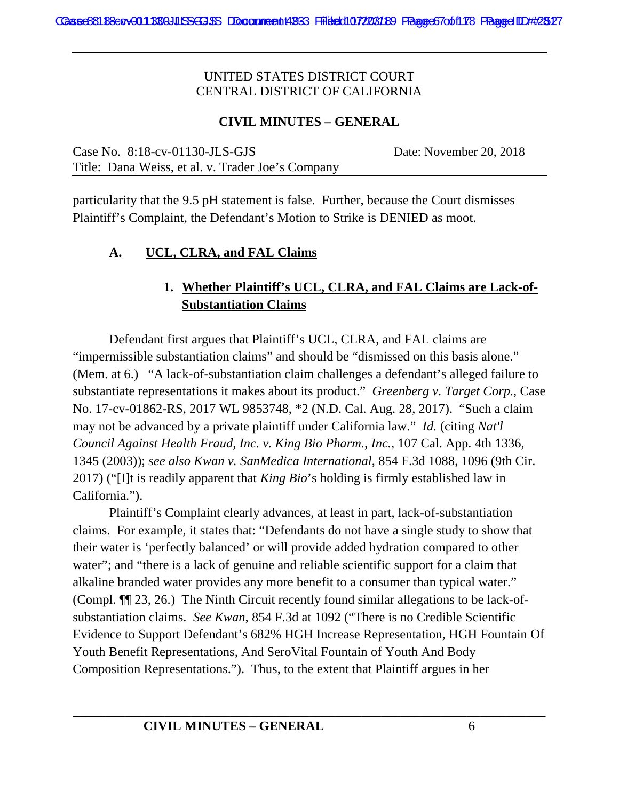#### **CIVIL MINUTES – GENERAL**

Case No. 8:18-cv-01130-JLS-GJS Date: November 20, 2018 Title: Dana Weiss, et al. v. Trader Joe's Company

particularity that the 9.5 pH statement is false. Further, because the Court dismisses Plaintiff's Complaint, the Defendant's Motion to Strike is DENIED as moot.

#### **A. UCL, CLRA, and FAL Claims**

# **1. Whether Plaintiff's UCL, CLRA, and FAL Claims are Lack-of-Substantiation Claims**

Defendant first argues that Plaintiff's UCL, CLRA, and FAL claims are "impermissible substantiation claims" and should be "dismissed on this basis alone." (Mem. at 6.) "A lack-of-substantiation claim challenges a defendant's alleged failure to substantiate representations it makes about its product." *Greenberg v. Target Corp.*, Case No. 17-cv-01862-RS, 2017 WL 9853748, \*2 (N.D. Cal. Aug. 28, 2017). "Such a claim may not be advanced by a private plaintiff under California law." *Id.* (citing *Nat'l Council Against Health Fraud, Inc. v. King Bio Pharm., Inc.*, 107 Cal. App. 4th 1336, 1345 (2003)); *see also Kwan v. SanMedica International*, 854 F.3d 1088, 1096 (9th Cir. 2017) ("[I]t is readily apparent that *King Bio*'s holding is firmly established law in California.").

Plaintiff's Complaint clearly advances, at least in part, lack-of-substantiation claims. For example, it states that: "Defendants do not have a single study to show that their water is 'perfectly balanced' or will provide added hydration compared to other water"; and "there is a lack of genuine and reliable scientific support for a claim that alkaline branded water provides any more benefit to a consumer than typical water." (Compl. ¶¶ 23, 26.) The Ninth Circuit recently found similar allegations to be lack-ofsubstantiation claims. *See Kwan*, 854 F.3d at 1092 ("There is no Credible Scientific Evidence to Support Defendant's 682% HGH Increase Representation, HGH Fountain Of Youth Benefit Representations, And SeroVital Fountain of Youth And Body Composition Representations."). Thus, to the extent that Plaintiff argues in her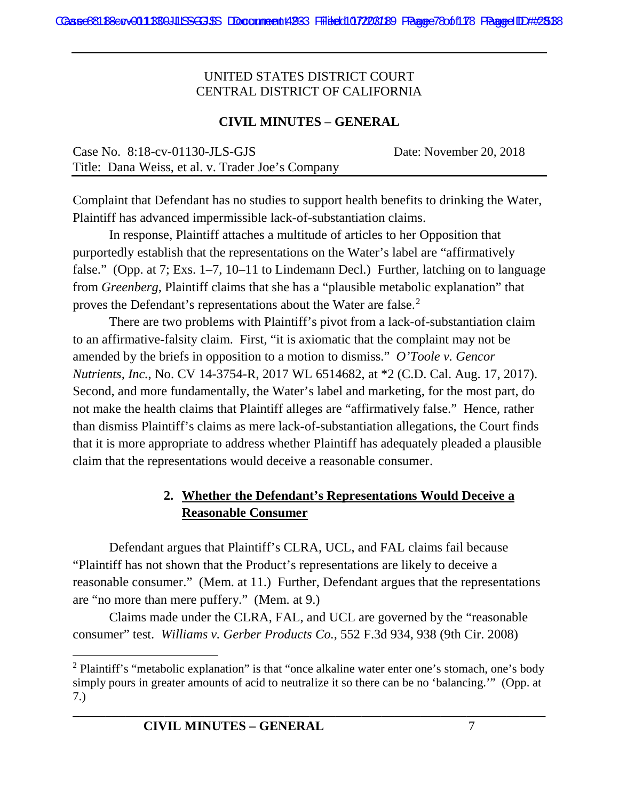#### **CIVIL MINUTES – GENERAL**

| Case No. $8:18$ -cv-01130-JLS-GJS                 | Date: November 20, 2018 |
|---------------------------------------------------|-------------------------|
| Title: Dana Weiss, et al. v. Trader Joe's Company |                         |

Complaint that Defendant has no studies to support health benefits to drinking the Water, Plaintiff has advanced impermissible lack-of-substantiation claims.

In response, Plaintiff attaches a multitude of articles to her Opposition that purportedly establish that the representations on the Water's label are "affirmatively false." (Opp. at 7; Exs. 1–7, 10–11 to Lindemann Decl.) Further, latching on to language from *Greenberg*, Plaintiff claims that she has a "plausible metabolic explanation" that proves the Defendant's representations about the Water are false.<sup>2</sup>

There are two problems with Plaintiff's pivot from a lack-of-substantiation claim to an affirmative-falsity claim. First, "it is axiomatic that the complaint may not be amended by the briefs in opposition to a motion to dismiss." *O'Toole v. Gencor Nutrients, Inc.*, No. CV 14-3754-R, 2017 WL 6514682, at \*2 (C.D. Cal. Aug. 17, 2017). Second, and more fundamentally, the Water's label and marketing, for the most part, do not make the health claims that Plaintiff alleges are "affirmatively false." Hence, rather than dismiss Plaintiff's claims as mere lack-of-substantiation allegations, the Court finds that it is more appropriate to address whether Plaintiff has adequately pleaded a plausible claim that the representations would deceive a reasonable consumer.

# **2. Whether the Defendant's Representations Would Deceive a Reasonable Consumer**

Defendant argues that Plaintiff's CLRA, UCL, and FAL claims fail because "Plaintiff has not shown that the Product's representations are likely to deceive a reasonable consumer." (Mem. at 11.) Further, Defendant argues that the representations are "no more than mere puffery." (Mem. at 9.)

Claims made under the CLRA, FAL, and UCL are governed by the "reasonable consumer" test. *Williams v. Gerber Products Co.*, 552 F.3d 934, 938 (9th Cir. 2008)

<sup>&</sup>lt;sup>2</sup> Plaintiff's "metabolic explanation" is that "once alkaline water enter one's stomach, one's body simply pours in greater amounts of acid to neutralize it so there can be no 'balancing.'" (Opp. at 7.)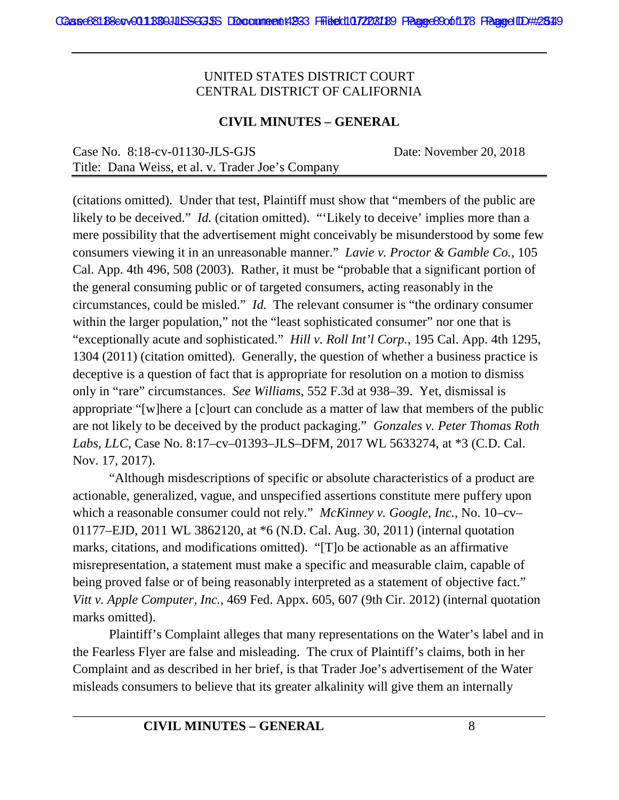#### **CIVIL MINUTES – GENERAL**

| Case No. $8:18$ -cv-01130-JLS-GJS                 | Date: November 20, 2018 |
|---------------------------------------------------|-------------------------|
| Title: Dana Weiss, et al. v. Trader Joe's Company |                         |

(citations omitted). Under that test, Plaintiff must show that "members of the public are likely to be deceived." *Id.* (citation omitted). "'Likely to deceive' implies more than a mere possibility that the advertisement might conceivably be misunderstood by some few consumers viewing it in an unreasonable manner." *Lavie v. Proctor & Gamble Co.*, 105 Cal. App. 4th 496, 508 (2003). Rather, it must be "probable that a significant portion of the general consuming public or of targeted consumers, acting reasonably in the circumstances, could be misled." *Id.* The relevant consumer is "the ordinary consumer within the larger population," not the "least sophisticated consumer" nor one that is "exceptionally acute and sophisticated." *Hill v. Roll Int'l Corp.*, 195 Cal. App. 4th 1295, 1304 (2011) (citation omitted). Generally, the question of whether a business practice is deceptive is a question of fact that is appropriate for resolution on a motion to dismiss only in "rare" circumstances. *See Williams*, 552 F.3d at 938–39. Yet, dismissal is appropriate "[w]here a [c]ourt can conclude as a matter of law that members of the public are not likely to be deceived by the product packaging." *Gonzales v. Peter Thomas Roth Labs, LLC*, Case No. 8:17–cv–01393–JLS–DFM, 2017 WL 5633274, at \*3 (C.D. Cal. Nov. 17, 2017).

"Although misdescriptions of specific or absolute characteristics of a product are actionable, generalized, vague, and unspecified assertions constitute mere puffery upon which a reasonable consumer could not rely." *McKinney v. Google, Inc.,* No. 10–cv– 01177–EJD, 2011 WL 3862120, at \*6 (N.D. Cal. Aug. 30, 2011) (internal quotation marks, citations, and modifications omitted). "[T]o be actionable as an affirmative misrepresentation, a statement must make a specific and measurable claim, capable of being proved false or of being reasonably interpreted as a statement of objective fact." *Vitt v. Apple Computer, Inc.*, 469 Fed. Appx. 605, 607 (9th Cir. 2012) (internal quotation marks omitted).

Plaintiff's Complaint alleges that many representations on the Water's label and in the Fearless Flyer are false and misleading. The crux of Plaintiff's claims, both in her Complaint and as described in her brief, is that Trader Joe's advertisement of the Water misleads consumers to believe that its greater alkalinity will give them an internally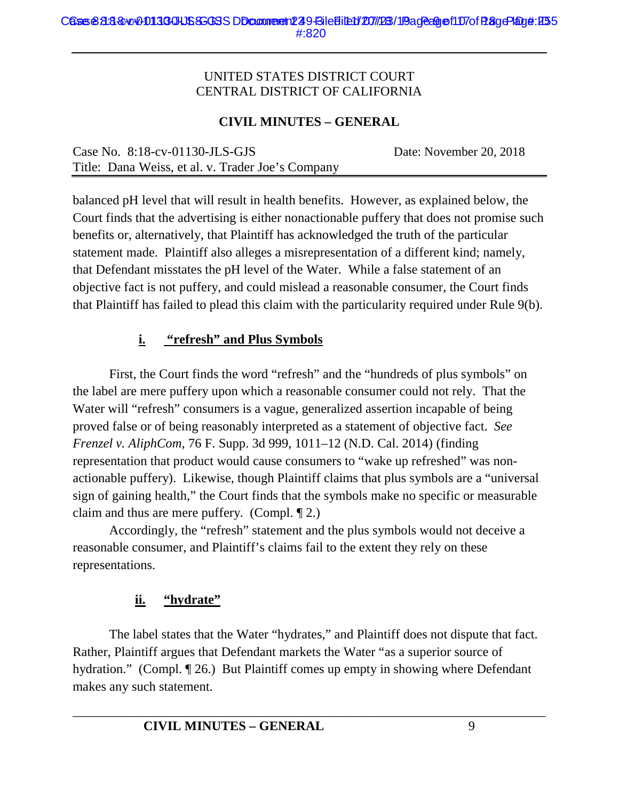#### **CIVIL MINUTES – GENERAL**

| Case No. $8:18$ -cv-01130-JLS-GJS                 | Date: November 20, 2018 |
|---------------------------------------------------|-------------------------|
| Title: Dana Weiss, et al. v. Trader Joe's Company |                         |

balanced pH level that will result in health benefits. However, as explained below, the Court finds that the advertising is either nonactionable puffery that does not promise such benefits or, alternatively, that Plaintiff has acknowledged the truth of the particular statement made. Plaintiff also alleges a misrepresentation of a different kind; namely, that Defendant misstates the pH level of the Water. While a false statement of an objective fact is not puffery, and could mislead a reasonable consumer, the Court finds that Plaintiff has failed to plead this claim with the particularity required under Rule 9(b).

#### **i. "refresh" and Plus Symbols**

First, the Court finds the word "refresh" and the "hundreds of plus symbols" on the label are mere puffery upon which a reasonable consumer could not rely. That the Water will "refresh" consumers is a vague, generalized assertion incapable of being proved false or of being reasonably interpreted as a statement of objective fact. *See Frenzel v. AliphCom*, 76 F. Supp. 3d 999, 1011–12 (N.D. Cal. 2014) (finding representation that product would cause consumers to "wake up refreshed" was nonactionable puffery). Likewise, though Plaintiff claims that plus symbols are a "universal sign of gaining health," the Court finds that the symbols make no specific or measurable claim and thus are mere puffery. (Compl. ¶ 2.)

Accordingly, the "refresh" statement and the plus symbols would not deceive a reasonable consumer, and Plaintiff's claims fail to the extent they rely on these representations.

# **ii. "hydrate"**

The label states that the Water "hydrates," and Plaintiff does not dispute that fact. Rather, Plaintiff argues that Defendant markets the Water "as a superior source of hydration." (Compl. 126.) But Plaintiff comes up empty in showing where Defendant makes any such statement.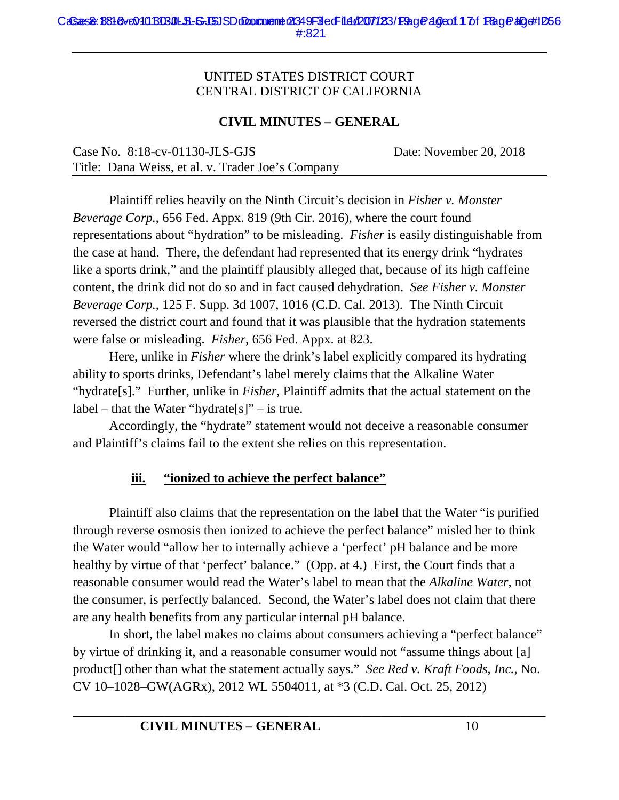#### **CIVIL MINUTES – GENERAL**

| Case No. $8:18$ -cv-01130-JLS-GJS                 | Date: November 20, 2018 |
|---------------------------------------------------|-------------------------|
| Title: Dana Weiss, et al. v. Trader Joe's Company |                         |

Plaintiff relies heavily on the Ninth Circuit's decision in *Fisher v. Monster Beverage Corp.*, 656 Fed. Appx. 819 (9th Cir. 2016), where the court found representations about "hydration" to be misleading. *Fisher* is easily distinguishable from the case at hand. There, the defendant had represented that its energy drink "hydrates like a sports drink," and the plaintiff plausibly alleged that, because of its high caffeine content, the drink did not do so and in fact caused dehydration. *See Fisher v. Monster Beverage Corp.*, 125 F. Supp. 3d 1007, 1016 (C.D. Cal. 2013). The Ninth Circuit reversed the district court and found that it was plausible that the hydration statements were false or misleading. *Fisher*, 656 Fed. Appx. at 823.

Here, unlike in *Fisher* where the drink's label explicitly compared its hydrating ability to sports drinks, Defendant's label merely claims that the Alkaline Water "hydrate[s]." Further, unlike in *Fisher*, Plaintiff admits that the actual statement on the  $label - that the Water "hydrogen" - is true.$ 

Accordingly, the "hydrate" statement would not deceive a reasonable consumer and Plaintiff's claims fail to the extent she relies on this representation.

# **iii. "ionized to achieve the perfect balance"**

Plaintiff also claims that the representation on the label that the Water "is purified through reverse osmosis then ionized to achieve the perfect balance" misled her to think the Water would "allow her to internally achieve a 'perfect' pH balance and be more healthy by virtue of that 'perfect' balance." (Opp. at 4.) First, the Court finds that a reasonable consumer would read the Water's label to mean that the *Alkaline Water*, not the consumer, is perfectly balanced. Second, the Water's label does not claim that there are any health benefits from any particular internal pH balance.

In short, the label makes no claims about consumers achieving a "perfect balance" by virtue of drinking it, and a reasonable consumer would not "assume things about [a] product[] other than what the statement actually says." *See Red v. Kraft Foods, Inc.*, No. CV 10–1028–GW(AGRx), 2012 WL 5504011, at \*3 (C.D. Cal. Oct. 25, 2012)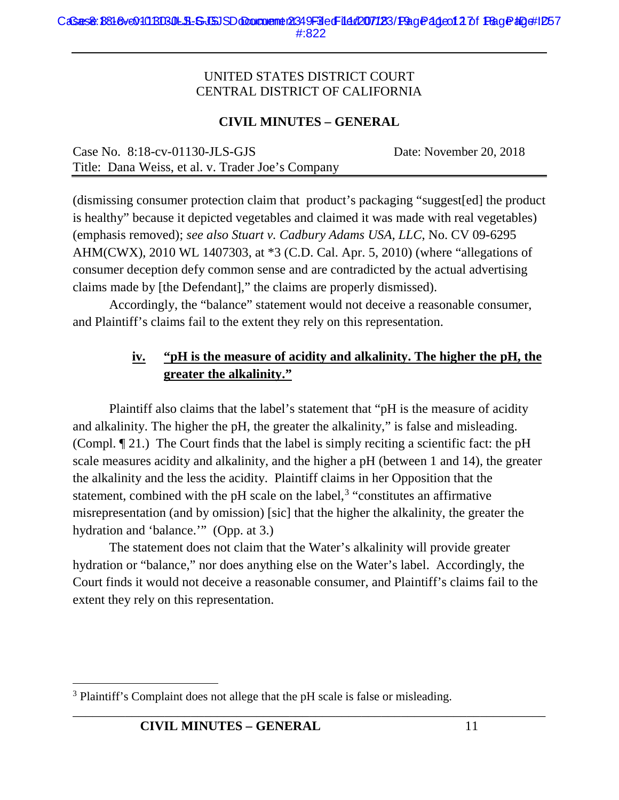#### **CIVIL MINUTES – GENERAL**

| Case No. $8:18$ -cv-01130-JLS-GJS                 | Date: November 20, 2018 |
|---------------------------------------------------|-------------------------|
| Title: Dana Weiss, et al. v. Trader Joe's Company |                         |

(dismissing consumer protection claim that product's packaging "suggest[ed] the product is healthy" because it depicted vegetables and claimed it was made with real vegetables) (emphasis removed); *see also Stuart v. Cadbury Adams USA, LLC*, No. CV 09-6295 AHM(CWX), 2010 WL 1407303, at \*3 (C.D. Cal. Apr. 5, 2010) (where "allegations of consumer deception defy common sense and are contradicted by the actual advertising claims made by [the Defendant]," the claims are properly dismissed).

Accordingly, the "balance" statement would not deceive a reasonable consumer, and Plaintiff's claims fail to the extent they rely on this representation.

## **iv. "pH is the measure of acidity and alkalinity. The higher the pH, the greater the alkalinity."**

Plaintiff also claims that the label's statement that "pH is the measure of acidity and alkalinity. The higher the pH, the greater the alkalinity," is false and misleading. (Compl. ¶ 21.) The Court finds that the label is simply reciting a scientific fact: the pH scale measures acidity and alkalinity, and the higher a pH (between 1 and 14), the greater the alkalinity and the less the acidity. Plaintiff claims in her Opposition that the statement, combined with the pH scale on the label, $3$  "constitutes an affirmative misrepresentation (and by omission) [sic] that the higher the alkalinity, the greater the hydration and 'balance.'" (Opp. at 3.)

The statement does not claim that the Water's alkalinity will provide greater hydration or "balance," nor does anything else on the Water's label. Accordingly, the Court finds it would not deceive a reasonable consumer, and Plaintiff's claims fail to the extent they rely on this representation.

<sup>&</sup>lt;sup>3</sup> Plaintiff's Complaint does not allege that the pH scale is false or misleading.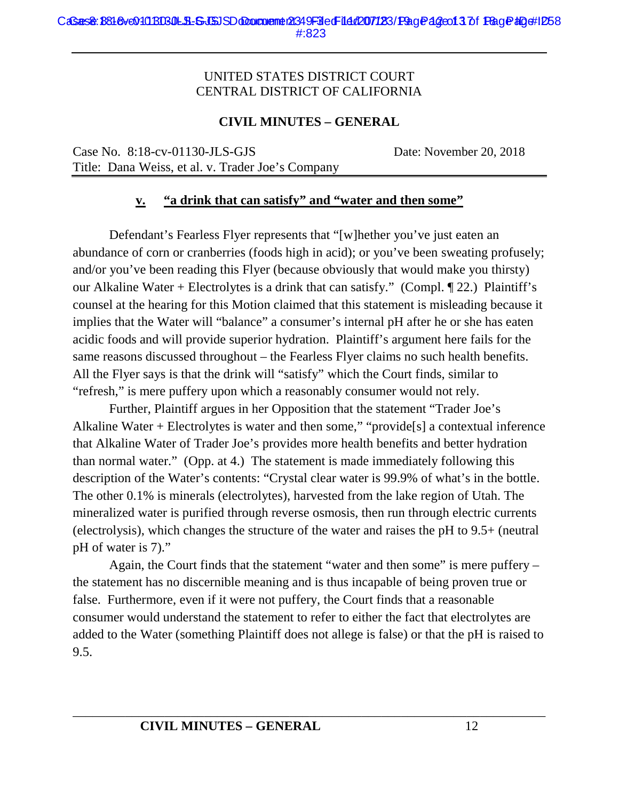#### **CIVIL MINUTES – GENERAL**

Case No. 8:18-cv-01130-JLS-GJS Date: November 20, 2018 Title: Dana Weiss, et al. v. Trader Joe's Company

#### **v. "a drink that can satisfy" and "water and then some"**

Defendant's Fearless Flyer represents that "[w]hether you've just eaten an abundance of corn or cranberries (foods high in acid); or you've been sweating profusely; and/or you've been reading this Flyer (because obviously that would make you thirsty) our Alkaline Water + Electrolytes is a drink that can satisfy." (Compl. ¶ 22.) Plaintiff's counsel at the hearing for this Motion claimed that this statement is misleading because it implies that the Water will "balance" a consumer's internal pH after he or she has eaten acidic foods and will provide superior hydration. Plaintiff's argument here fails for the same reasons discussed throughout – the Fearless Flyer claims no such health benefits. All the Flyer says is that the drink will "satisfy" which the Court finds, similar to "refresh," is mere puffery upon which a reasonably consumer would not rely.

Further, Plaintiff argues in her Opposition that the statement "Trader Joe's Alkaline Water + Electrolytes is water and then some," "provide[s] a contextual inference that Alkaline Water of Trader Joe's provides more health benefits and better hydration than normal water." (Opp. at 4.) The statement is made immediately following this description of the Water's contents: "Crystal clear water is 99.9% of what's in the bottle. The other 0.1% is minerals (electrolytes), harvested from the lake region of Utah. The mineralized water is purified through reverse osmosis, then run through electric currents (electrolysis), which changes the structure of the water and raises the pH to 9.5+ (neutral pH of water is 7)."

Again, the Court finds that the statement "water and then some" is mere puffery – the statement has no discernible meaning and is thus incapable of being proven true or false. Furthermore, even if it were not puffery, the Court finds that a reasonable consumer would understand the statement to refer to either the fact that electrolytes are added to the Water (something Plaintiff does not allege is false) or that the pH is raised to 9.5.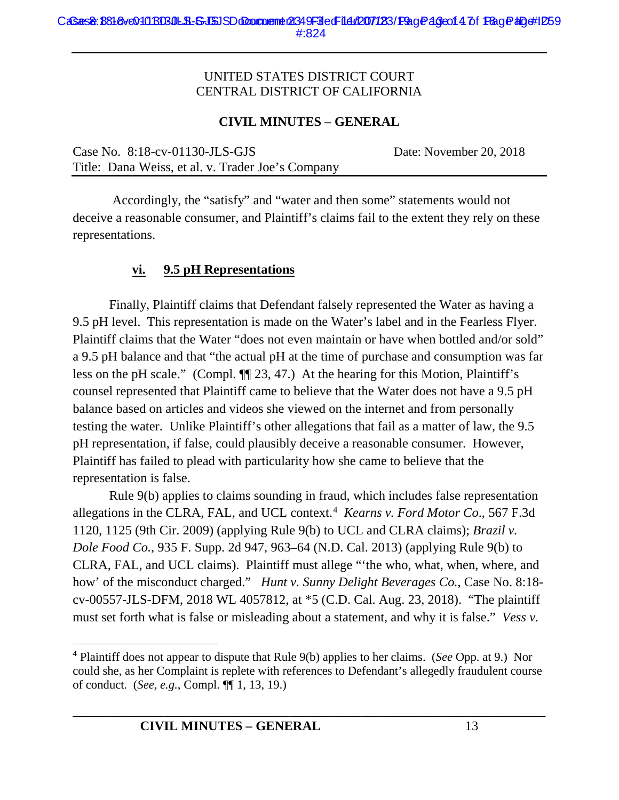#### **CIVIL MINUTES – GENERAL**

Case No. 8:18-cv-01130-JLS-GJS Date: November 20, 2018 Title: Dana Weiss, et al. v. Trader Joe's Company

Accordingly, the "satisfy" and "water and then some" statements would not deceive a reasonable consumer, and Plaintiff's claims fail to the extent they rely on these representations.

#### **vi. 9.5 pH Representations**

Finally, Plaintiff claims that Defendant falsely represented the Water as having a 9.5 pH level. This representation is made on the Water's label and in the Fearless Flyer. Plaintiff claims that the Water "does not even maintain or have when bottled and/or sold" a 9.5 pH balance and that "the actual pH at the time of purchase and consumption was far less on the pH scale." (Compl. ¶¶ 23, 47.) At the hearing for this Motion, Plaintiff's counsel represented that Plaintiff came to believe that the Water does not have a 9.5 pH balance based on articles and videos she viewed on the internet and from personally testing the water. Unlike Plaintiff's other allegations that fail as a matter of law, the 9.5 pH representation, if false, could plausibly deceive a reasonable consumer. However, Plaintiff has failed to plead with particularity how she came to believe that the representation is false.

Rule 9(b) applies to claims sounding in fraud, which includes false representation allegations in the CLRA, FAL, and UCL context.4 *Kearns v. Ford Motor Co*., 567 F.3d 1120, 1125 (9th Cir. 2009) (applying Rule 9(b) to UCL and CLRA claims); *Brazil v. Dole Food Co.*, 935 F. Supp. 2d 947, 963–64 (N.D. Cal. 2013) (applying Rule 9(b) to CLRA, FAL, and UCL claims). Plaintiff must allege "'the who, what, when, where, and how' of the misconduct charged." *Hunt v. Sunny Delight Beverages Co.*, Case No. 8:18 cv-00557-JLS-DFM, 2018 WL 4057812, at \*5 (C.D. Cal. Aug. 23, 2018). "The plaintiff must set forth what is false or misleading about a statement, and why it is false." *Vess v.* 

 <sup>4</sup> Plaintiff does not appear to dispute that Rule 9(b) applies to her claims. (*See* Opp. at 9.) Nor could she, as her Complaint is replete with references to Defendant's allegedly fraudulent course of conduct. (*See, e.g.*, Compl. ¶¶ 1, 13, 19.)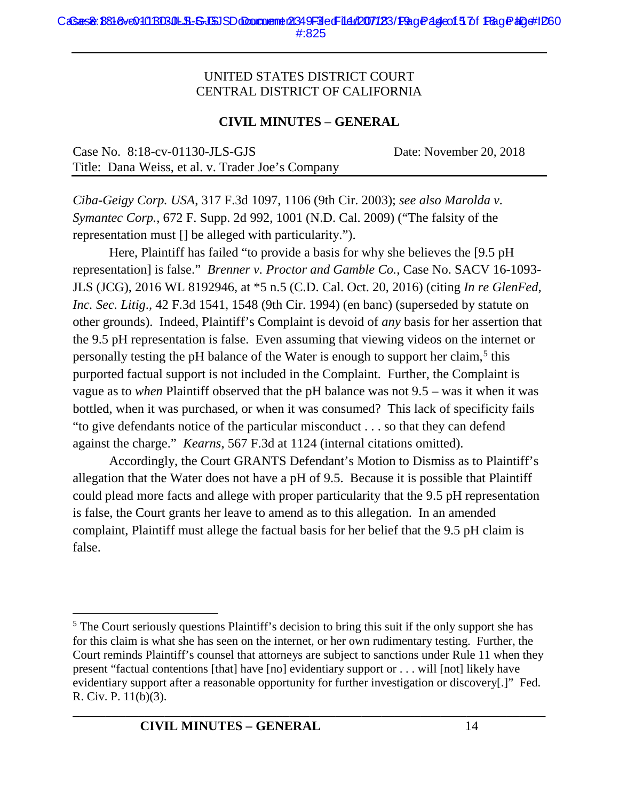#### **CIVIL MINUTES – GENERAL**

| Case No. $8:18$ -cv-01130-JLS-GJS                 | Date: November 20, 2018 |
|---------------------------------------------------|-------------------------|
| Title: Dana Weiss, et al. v. Trader Joe's Company |                         |

*Ciba-Geigy Corp. USA*, 317 F.3d 1097, 1106 (9th Cir. 2003); *see also Marolda v. Symantec Corp.*, 672 F. Supp. 2d 992, 1001 (N.D. Cal. 2009) ("The falsity of the representation must [] be alleged with particularity.").

Here, Plaintiff has failed "to provide a basis for why she believes the [9.5 pH representation] is false." *Brenner v. Proctor and Gamble Co.*, Case No. SACV 16-1093- JLS (JCG), 2016 WL 8192946, at \*5 n.5 (C.D. Cal. Oct. 20, 2016) (citing *In re GlenFed, Inc. Sec. Litig*., 42 F.3d 1541, 1548 (9th Cir. 1994) (en banc) (superseded by statute on other grounds). Indeed, Plaintiff's Complaint is devoid of *any* basis for her assertion that the 9.5 pH representation is false. Even assuming that viewing videos on the internet or personally testing the pH balance of the Water is enough to support her claim,<sup>5</sup> this purported factual support is not included in the Complaint. Further, the Complaint is vague as to *when* Plaintiff observed that the pH balance was not 9.5 – was it when it was bottled, when it was purchased, or when it was consumed? This lack of specificity fails "to give defendants notice of the particular misconduct . . . so that they can defend against the charge." *Kearns*, 567 F.3d at 1124 (internal citations omitted).

Accordingly, the Court GRANTS Defendant's Motion to Dismiss as to Plaintiff's allegation that the Water does not have a pH of 9.5. Because it is possible that Plaintiff could plead more facts and allege with proper particularity that the 9.5 pH representation is false, the Court grants her leave to amend as to this allegation. In an amended complaint, Plaintiff must allege the factual basis for her belief that the 9.5 pH claim is false.

<sup>&</sup>lt;sup>5</sup> The Court seriously questions Plaintiff's decision to bring this suit if the only support she has for this claim is what she has seen on the internet, or her own rudimentary testing. Further, the Court reminds Plaintiff's counsel that attorneys are subject to sanctions under Rule 11 when they present "factual contentions [that] have [no] evidentiary support or . . . will [not] likely have evidentiary support after a reasonable opportunity for further investigation or discovery[.]" Fed. R. Civ. P. 11(b)(3).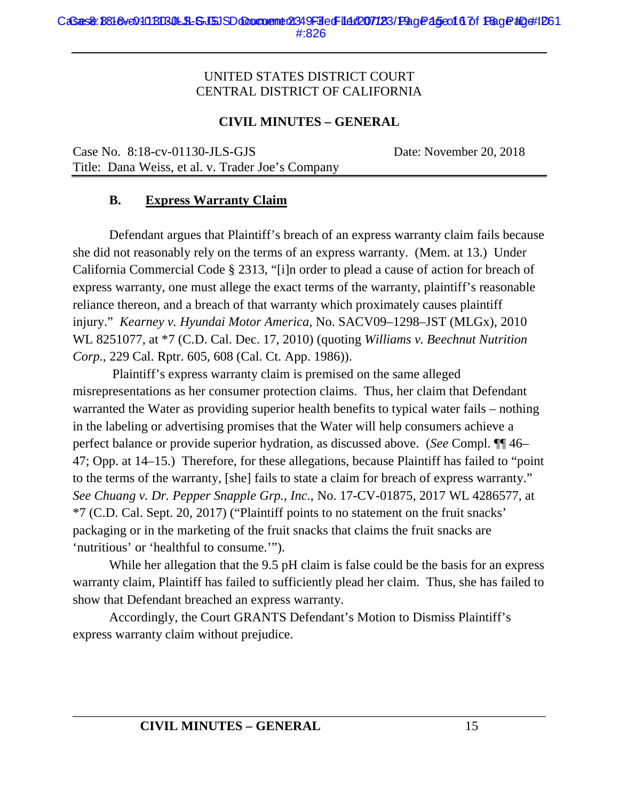#### **CIVIL MINUTES – GENERAL**

Case No. 8:18-cv-01130-JLS-GJS Date: November 20, 2018 Title: Dana Weiss, et al. v. Trader Joe's Company

#### **B. Express Warranty Claim**

Defendant argues that Plaintiff's breach of an express warranty claim fails because she did not reasonably rely on the terms of an express warranty. (Mem. at 13.) Under California Commercial Code § 2313, "[i]n order to plead a cause of action for breach of express warranty, one must allege the exact terms of the warranty, plaintiff's reasonable reliance thereon, and a breach of that warranty which proximately causes plaintiff injury." *Kearney v. Hyundai Motor America*, No. SACV09–1298–JST (MLGx), 2010 WL 8251077, at \*7 (C.D. Cal. Dec. 17, 2010) (quoting *Williams v. Beechnut Nutrition Corp.*, 229 Cal. Rptr. 605, 608 (Cal. Ct. App. 1986)).

Plaintiff's express warranty claim is premised on the same alleged misrepresentations as her consumer protection claims. Thus, her claim that Defendant warranted the Water as providing superior health benefits to typical water fails – nothing in the labeling or advertising promises that the Water will help consumers achieve a perfect balance or provide superior hydration, as discussed above. (*See* Compl. ¶¶ 46– 47; Opp. at 14–15.) Therefore, for these allegations, because Plaintiff has failed to "point to the terms of the warranty, [she] fails to state a claim for breach of express warranty." *See Chuang v. Dr. Pepper Snapple Grp., Inc.*, No. 17-CV-01875, 2017 WL 4286577, at \*7 (C.D. Cal. Sept. 20, 2017) ("Plaintiff points to no statement on the fruit snacks' packaging or in the marketing of the fruit snacks that claims the fruit snacks are 'nutritious' or 'healthful to consume.'").

While her allegation that the 9.5 pH claim is false could be the basis for an express warranty claim, Plaintiff has failed to sufficiently plead her claim. Thus, she has failed to show that Defendant breached an express warranty.

Accordingly, the Court GRANTS Defendant's Motion to Dismiss Plaintiff's express warranty claim without prejudice.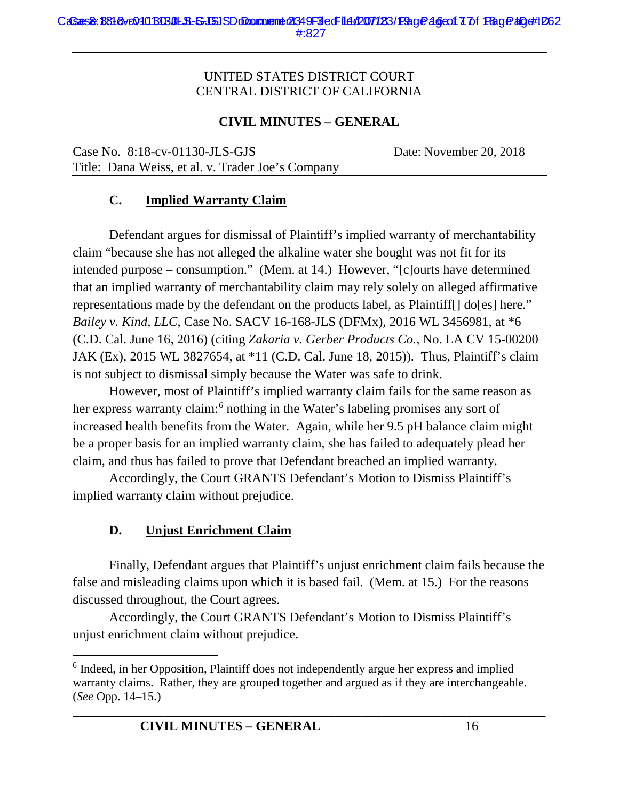#### **CIVIL MINUTES – GENERAL**

Case No. 8:18-cv-01130-JLS-GJS Date: November 20, 2018 Title: Dana Weiss, et al. v. Trader Joe's Company

# **C. Implied Warranty Claim**

Defendant argues for dismissal of Plaintiff's implied warranty of merchantability claim "because she has not alleged the alkaline water she bought was not fit for its intended purpose – consumption." (Mem. at 14.) However, "[c]ourts have determined that an implied warranty of merchantability claim may rely solely on alleged affirmative representations made by the defendant on the products label, as Plaintiff[] do[es] here." *Bailey v. Kind, LLC*, Case No. SACV 16-168-JLS (DFMx), 2016 WL 3456981, at \*6 (C.D. Cal. June 16, 2016) (citing *Zakaria v. Gerber Products Co.*, No. LA CV 15-00200 JAK (Ex), 2015 WL 3827654, at \*11 (C.D. Cal. June 18, 2015)). Thus, Plaintiff's claim is not subject to dismissal simply because the Water was safe to drink.

However, most of Plaintiff's implied warranty claim fails for the same reason as her express warranty claim:<sup>6</sup> nothing in the Water's labeling promises any sort of increased health benefits from the Water. Again, while her 9.5 pH balance claim might be a proper basis for an implied warranty claim, she has failed to adequately plead her claim, and thus has failed to prove that Defendant breached an implied warranty.

Accordingly, the Court GRANTS Defendant's Motion to Dismiss Plaintiff's implied warranty claim without prejudice.

#### **D. Unjust Enrichment Claim**

Finally, Defendant argues that Plaintiff's unjust enrichment claim fails because the false and misleading claims upon which it is based fail. (Mem. at 15.) For the reasons discussed throughout, the Court agrees.

Accordingly, the Court GRANTS Defendant's Motion to Dismiss Plaintiff's unjust enrichment claim without prejudice.

 <sup>6</sup> Indeed, in her Opposition, Plaintiff does not independently argue her express and implied warranty claims. Rather, they are grouped together and argued as if they are interchangeable. (*See* Opp. 14–15.)